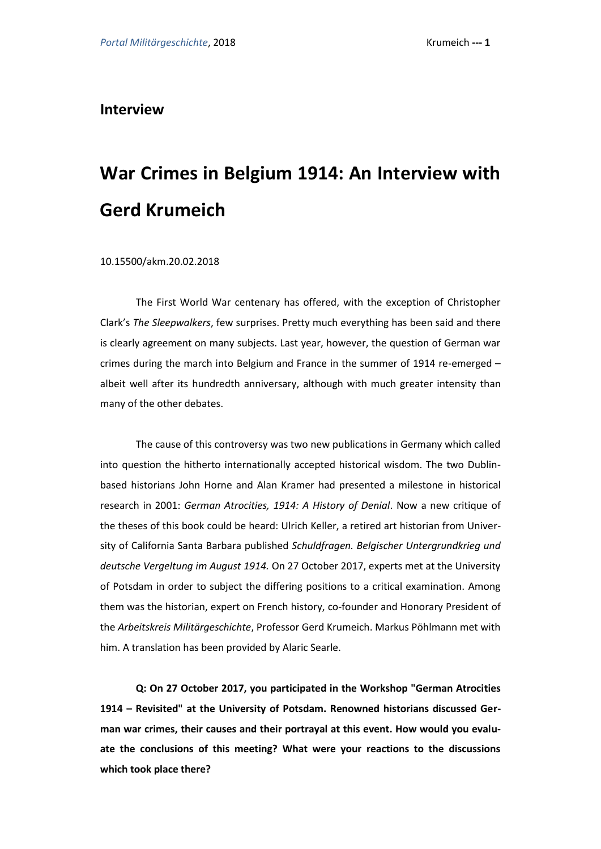**Interview**

# **War Crimes in Belgium 1914: An Interview with Gerd Krumeich**

10.15500/akm.20.02.2018

The First World War centenary has offered, with the exception of Christopher Clark's *The Sleepwalkers*, few surprises. Pretty much everything has been said and there is clearly agreement on many subjects. Last year, however, the question of German war crimes during the march into Belgium and France in the summer of 1914 re-emerged – albeit well after its hundredth anniversary, although with much greater intensity than many of the other debates.

The cause of this controversy was two new publications in Germany which called into question the hitherto internationally accepted historical wisdom. The two Dublinbased historians John Horne and Alan Kramer had presented a milestone in historical research in 2001: *German Atrocities, 1914: A History of Denial*. Now a new critique of the theses of this book could be heard: Ulrich Keller, a retired art historian from University of California Santa Barbara published *Schuldfragen. Belgischer Untergrundkrieg und deutsche Vergeltung im August 1914.* On 27 October 2017, experts met at the University of Potsdam in order to subject the differing positions to a critical examination. Among them was the historian, expert on French history, co-founder and Honorary President of the *Arbeitskreis Militärgeschichte*, Professor Gerd Krumeich. Markus Pöhlmann met with him. A translation has been provided by Alaric Searle.

**Q: On 27 October 2017, you participated in the Workshop "German Atrocities 1914 – Revisited" at the University of Potsdam. Renowned historians discussed German war crimes, their causes and their portrayal at this event. How would you evaluate the conclusions of this meeting? What were your reactions to the discussions which took place there?**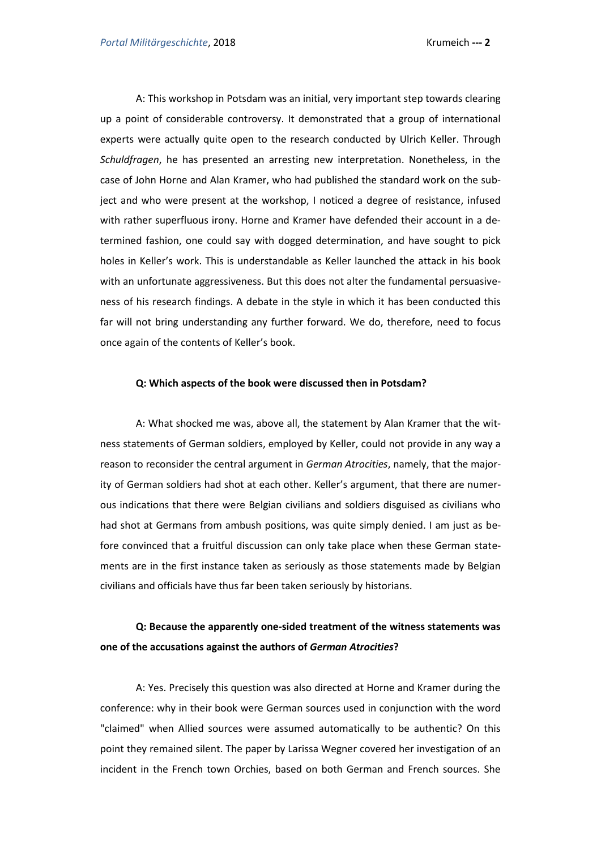A: This workshop in Potsdam was an initial, very important step towards clearing up a point of considerable controversy. It demonstrated that a group of international experts were actually quite open to the research conducted by Ulrich Keller. Through *Schuldfragen*, he has presented an arresting new interpretation. Nonetheless, in the case of John Horne and Alan Kramer, who had published the standard work on the subject and who were present at the workshop, I noticed a degree of resistance, infused with rather superfluous irony. Horne and Kramer have defended their account in a determined fashion, one could say with dogged determination, and have sought to pick holes in Keller's work. This is understandable as Keller launched the attack in his book with an unfortunate aggressiveness. But this does not alter the fundamental persuasiveness of his research findings. A debate in the style in which it has been conducted this far will not bring understanding any further forward. We do, therefore, need to focus once again of the contents of Keller's book.

#### **Q: Which aspects of the book were discussed then in Potsdam?**

A: What shocked me was, above all, the statement by Alan Kramer that the witness statements of German soldiers, employed by Keller, could not provide in any way a reason to reconsider the central argument in *German Atrocities*, namely, that the majority of German soldiers had shot at each other. Keller's argument, that there are numerous indications that there were Belgian civilians and soldiers disguised as civilians who had shot at Germans from ambush positions, was quite simply denied. I am just as before convinced that a fruitful discussion can only take place when these German statements are in the first instance taken as seriously as those statements made by Belgian civilians and officials have thus far been taken seriously by historians.

#### **Q: Because the apparently one-sided treatment of the witness statements was one of the accusations against the authors of** *German Atrocities***?**

A: Yes. Precisely this question was also directed at Horne and Kramer during the conference: why in their book were German sources used in conjunction with the word "claimed" when Allied sources were assumed automatically to be authentic? On this point they remained silent. The paper by Larissa Wegner covered her investigation of an incident in the French town Orchies, based on both German and French sources. She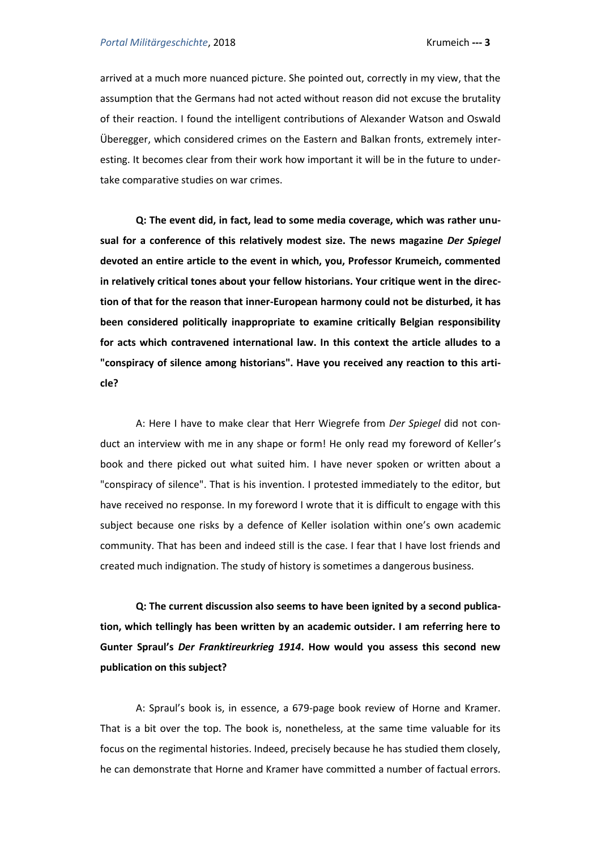arrived at a much more nuanced picture. She pointed out, correctly in my view, that the assumption that the Germans had not acted without reason did not excuse the brutality of their reaction. I found the intelligent contributions of Alexander Watson and Oswald Überegger, which considered crimes on the Eastern and Balkan fronts, extremely interesting. It becomes clear from their work how important it will be in the future to undertake comparative studies on war crimes.

**Q: The event did, in fact, lead to some media coverage, which was rather unusual for a conference of this relatively modest size. The news magazine** *Der Spiegel* **devoted an entire article to the event in which, you, Professor Krumeich, commented in relatively critical tones about your fellow historians. Your critique went in the direction of that for the reason that inner-European harmony could not be disturbed, it has been considered politically inappropriate to examine critically Belgian responsibility for acts which contravened international law. In this context the article alludes to a "conspiracy of silence among historians". Have you received any reaction to this article?** 

A: Here I have to make clear that Herr Wiegrefe from *Der Spiegel* did not conduct an interview with me in any shape or form! He only read my foreword of Keller's book and there picked out what suited him. I have never spoken or written about a "conspiracy of silence". That is his invention. I protested immediately to the editor, but have received no response. In my foreword I wrote that it is difficult to engage with this subject because one risks by a defence of Keller isolation within one's own academic community. That has been and indeed still is the case. I fear that I have lost friends and created much indignation. The study of history is sometimes a dangerous business.

**Q: The current discussion also seems to have been ignited by a second publication, which tellingly has been written by an academic outsider. I am referring here to Gunter Spraul's** *Der Franktireurkrieg 1914***. How would you assess this second new publication on this subject?** 

A: Spraul's book is, in essence, a 679-page book review of Horne and Kramer. That is a bit over the top. The book is, nonetheless, at the same time valuable for its focus on the regimental histories. Indeed, precisely because he has studied them closely, he can demonstrate that Horne and Kramer have committed a number of factual errors.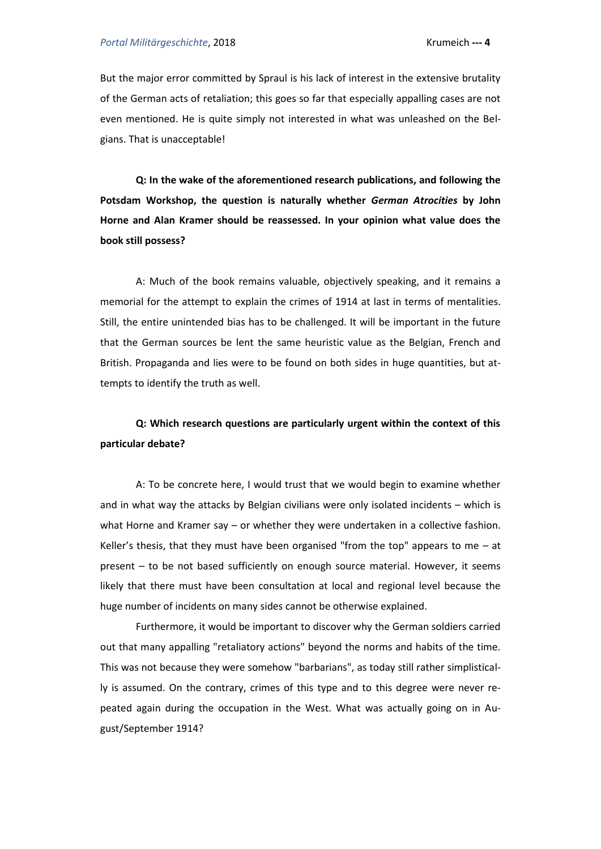But the major error committed by Spraul is his lack of interest in the extensive brutality of the German acts of retaliation; this goes so far that especially appalling cases are not even mentioned. He is quite simply not interested in what was unleashed on the Belgians. That is unacceptable!

**Q: In the wake of the aforementioned research publications, and following the Potsdam Workshop, the question is naturally whether** *German Atrocities* **by John Horne and Alan Kramer should be reassessed. In your opinion what value does the book still possess?** 

A: Much of the book remains valuable, objectively speaking, and it remains a memorial for the attempt to explain the crimes of 1914 at last in terms of mentalities. Still, the entire unintended bias has to be challenged. It will be important in the future that the German sources be lent the same heuristic value as the Belgian, French and British. Propaganda and lies were to be found on both sides in huge quantities, but attempts to identify the truth as well.

### **Q: Which research questions are particularly urgent within the context of this particular debate?**

A: To be concrete here, I would trust that we would begin to examine whether and in what way the attacks by Belgian civilians were only isolated incidents – which is what Horne and Kramer say – or whether they were undertaken in a collective fashion. Keller's thesis, that they must have been organised "from the top" appears to me  $-$  at present – to be not based sufficiently on enough source material. However, it seems likely that there must have been consultation at local and regional level because the huge number of incidents on many sides cannot be otherwise explained.

Furthermore, it would be important to discover why the German soldiers carried out that many appalling "retaliatory actions" beyond the norms and habits of the time. This was not because they were somehow "barbarians", as today still rather simplistically is assumed. On the contrary, crimes of this type and to this degree were never repeated again during the occupation in the West. What was actually going on in August/September 1914?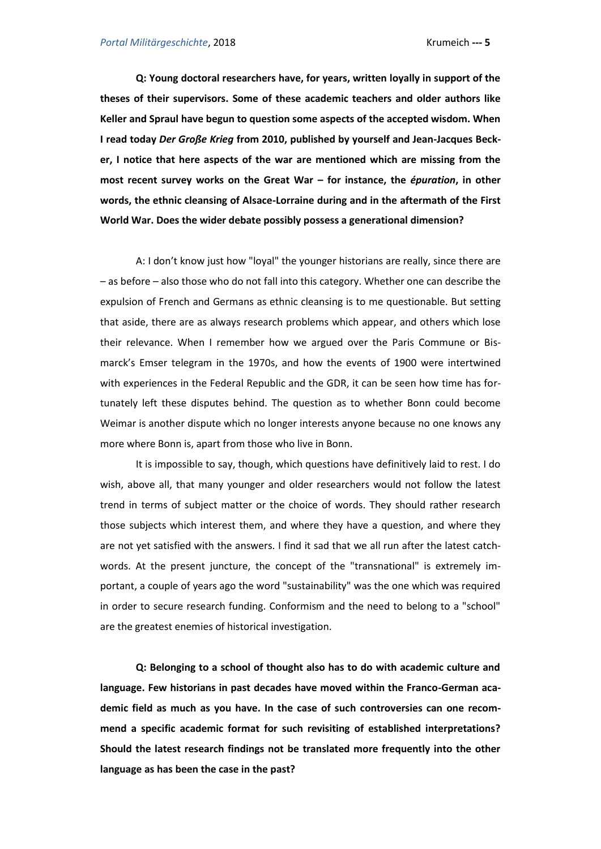**Q: Young doctoral researchers have, for years, written loyally in support of the theses of their supervisors. Some of these academic teachers and older authors like Keller and Spraul have begun to question some aspects of the accepted wisdom. When I read today** *Der Große Krieg* **from 2010, published by yourself and Jean-Jacques Becker, I notice that here aspects of the war are mentioned which are missing from the most recent survey works on the Great War – for instance, the** *épuration***, in other words, the ethnic cleansing of Alsace-Lorraine during and in the aftermath of the First World War. Does the wider debate possibly possess a generational dimension?** 

A: I don't know just how "loyal" the younger historians are really, since there are – as before – also those who do not fall into this category. Whether one can describe the expulsion of French and Germans as ethnic cleansing is to me questionable. But setting that aside, there are as always research problems which appear, and others which lose their relevance. When I remember how we argued over the Paris Commune or Bismarck's Emser telegram in the 1970s, and how the events of 1900 were intertwined with experiences in the Federal Republic and the GDR, it can be seen how time has fortunately left these disputes behind. The question as to whether Bonn could become Weimar is another dispute which no longer interests anyone because no one knows any more where Bonn is, apart from those who live in Bonn.

It is impossible to say, though, which questions have definitively laid to rest. I do wish, above all, that many younger and older researchers would not follow the latest trend in terms of subject matter or the choice of words. They should rather research those subjects which interest them, and where they have a question, and where they are not yet satisfied with the answers. I find it sad that we all run after the latest catchwords. At the present juncture, the concept of the "transnational" is extremely important, a couple of years ago the word "sustainability" was the one which was required in order to secure research funding. Conformism and the need to belong to a "school" are the greatest enemies of historical investigation.

**Q: Belonging to a school of thought also has to do with academic culture and language. Few historians in past decades have moved within the Franco-German academic field as much as you have. In the case of such controversies can one recommend a specific academic format for such revisiting of established interpretations? Should the latest research findings not be translated more frequently into the other language as has been the case in the past?**